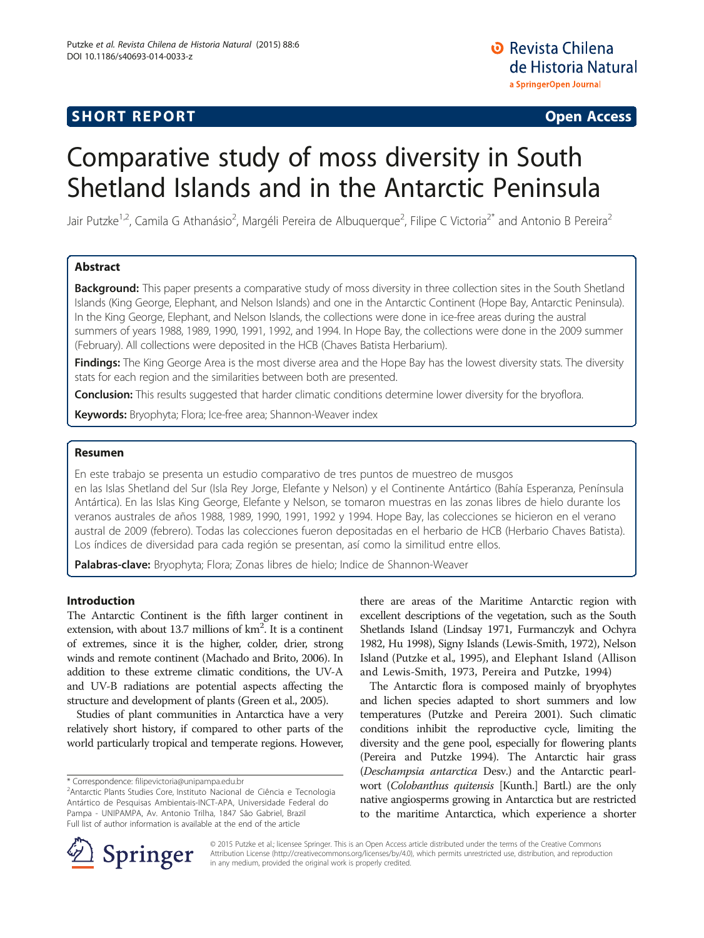# **SHORT REPORT CONSUMING THE CONSUMING OPEN ACCESS**

**D** Revista Chilena de Historia Natural a SpringerOpen Journal

# Comparative study of moss diversity in South Shetland Islands and in the Antarctic Peninsula

Jair Putzke<sup>1,2</sup>, Camila G Athanásio<sup>2</sup>, Margéli Pereira de Albuquerque<sup>2</sup>, Filipe C Victoria<sup>2\*</sup> and Antonio B Pereira<sup>2</sup>

# Abstract

Background: This paper presents a comparative study of moss diversity in three collection sites in the South Shetland Islands (King George, Elephant, and Nelson Islands) and one in the Antarctic Continent (Hope Bay, Antarctic Peninsula). In the King George, Elephant, and Nelson Islands, the collections were done in ice-free areas during the austral summers of years 1988, 1989, 1990, 1991, 1992, and 1994. In Hope Bay, the collections were done in the 2009 summer (February). All collections were deposited in the HCB (Chaves Batista Herbarium).

Findings: The King George Area is the most diverse area and the Hope Bay has the lowest diversity stats. The diversity stats for each region and the similarities between both are presented.

**Conclusion:** This results suggested that harder climatic conditions determine lower diversity for the bryoflora.

**Keywords:** Bryophyta; Flora; Ice-free area; Shannon-Weaver index

# Resumen

En este trabajo se presenta un estudio comparativo de tres puntos de muestreo de musgos en las Islas Shetland del Sur (Isla Rey Jorge, Elefante y Nelson) y el Continente Antártico (Bahía Esperanza, Península Antártica). En las Islas King George, Elefante y Nelson, se tomaron muestras en las zonas libres de hielo durante los veranos australes de años 1988, 1989, 1990, 1991, 1992 y 1994. Hope Bay, las colecciones se hicieron en el verano austral de 2009 (febrero). Todas las colecciones fueron depositadas en el herbario de HCB (Herbario Chaves Batista). Los índices de diversidad para cada región se presentan, así como la similitud entre ellos.

Palabras-clave: Bryophyta; Flora; Zonas libres de hielo; Indice de Shannon-Weaver

## Introduction

The Antarctic Continent is the fifth larger continent in extension, with about 13.7 millions of  $km^2$ . It is a continent of extremes, since it is the higher, colder, drier, strong winds and remote continent (Machado and Brito, [2006](#page-5-0)). In addition to these extreme climatic conditions, the UV-A and UV-B radiations are potential aspects affecting the structure and development of plants (Green et al., [2005\)](#page-4-0).

Studies of plant communities in Antarctica have a very relatively short history, if compared to other parts of the world particularly tropical and temperate regions. However,

\* Correspondence: [filipevictoria@unipampa.edu.br](mailto:filipevictoria@unipampa.edu.br) <sup>2</sup>

there are areas of the Maritime Antarctic region with excellent descriptions of the vegetation, such as the South Shetlands Island (Lindsay [1971](#page-5-0), Furmanczyk and Ochyra [1982,](#page-4-0) Hu [1998\)](#page-5-0), Signy Islands (Lewis-Smith, [1972](#page-5-0)), Nelson Island (Putzke et al., [1995](#page-5-0)), and Elephant Island (Allison and Lewis-Smith, [1973,](#page-4-0) Pereira and Putzke, [1994\)](#page-5-0)

The Antarctic flora is composed mainly of bryophytes and lichen species adapted to short summers and low temperatures (Putzke and Pereira [2001](#page-5-0)). Such climatic conditions inhibit the reproductive cycle, limiting the diversity and the gene pool, especially for flowering plants (Pereira and Putzke [1994](#page-5-0)). The Antarctic hair grass (Deschampsia antarctica Desv.) and the Antarctic pearlwort (Colobanthus quitensis [Kunth.] Bartl.) are the only native angiosperms growing in Antarctica but are restricted to the maritime Antarctica, which experience a shorter



© 2015 Putzke et al.; licensee Springer. This is an Open Access article distributed under the terms of the Creative Commons Attribution License [\(http://creativecommons.org/licenses/by/4.0\)](http://www.bryoecol.mtu.edu/), which permits unrestricted use, distribution, and reproduction in any medium, provided the original work is properly credited.

Antarctic Plants Studies Core, Instituto Nacional de Ciência e Tecnologia Antártico de Pesquisas Ambientais-INCT-APA, Universidade Federal do Pampa - UNIPAMPA, Av. Antonio Trilha, 1847 São Gabriel, Brazil Full list of author information is available at the end of the article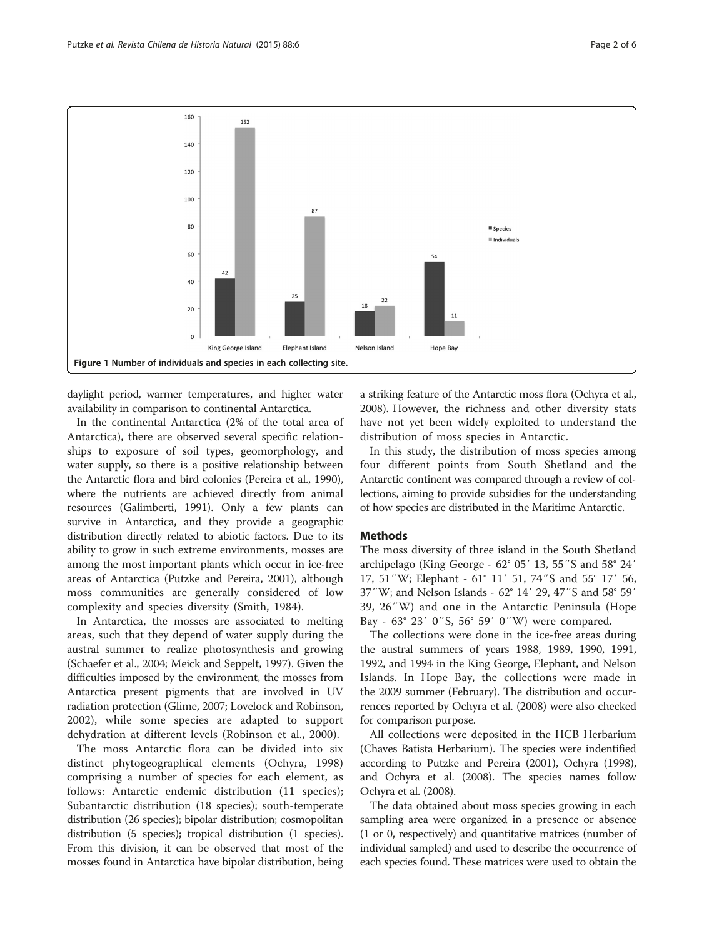<span id="page-1-0"></span>

daylight period, warmer temperatures, and higher water availability in comparison to continental Antarctica.

In the continental Antarctica (2% of the total area of Antarctica), there are observed several specific relationships to exposure of soil types, geomorphology, and water supply, so there is a positive relationship between the Antarctic flora and bird colonies (Pereira et al., [1990](#page-5-0)), where the nutrients are achieved directly from animal resources (Galimberti, [1991](#page-4-0)). Only a few plants can survive in Antarctica, and they provide a geographic distribution directly related to abiotic factors. Due to its ability to grow in such extreme environments, mosses are among the most important plants which occur in ice-free areas of Antarctica (Putzke and Pereira, [2001\)](#page-5-0), although moss communities are generally considered of low complexity and species diversity (Smith, [1984\)](#page-5-0).

In Antarctica, the mosses are associated to melting areas, such that they depend of water supply during the austral summer to realize photosynthesis and growing (Schaefer et al., [2004;](#page-5-0) Meick and Seppelt, [1997](#page-5-0)). Given the difficulties imposed by the environment, the mosses from Antarctica present pigments that are involved in UV radiation protection (Glime, [2007](#page-4-0); Lovelock and Robinson, [2002\)](#page-5-0), while some species are adapted to support dehydration at different levels (Robinson et al., [2000\)](#page-5-0).

The moss Antarctic flora can be divided into six distinct phytogeographical elements (Ochyra, [1998](#page-5-0)) comprising a number of species for each element, as follows: Antarctic endemic distribution (11 species); Subantarctic distribution (18 species); south-temperate distribution (26 species); bipolar distribution; cosmopolitan distribution (5 species); tropical distribution (1 species). From this division, it can be observed that most of the mosses found in Antarctica have bipolar distribution, being a striking feature of the Antarctic moss flora (Ochyra et al., [2008\)](#page-5-0). However, the richness and other diversity stats have not yet been widely exploited to understand the distribution of moss species in Antarctic.

In this study, the distribution of moss species among four different points from South Shetland and the Antarctic continent was compared through a review of collections, aiming to provide subsidies for the understanding of how species are distributed in the Maritime Antarctic.

### **Methods**

The moss diversity of three island in the South Shetland archipelago (King George - 62° 05′ 13, 55″S and 58° 24′ 17, 51″W; Elephant - 61° 11′ 51, 74″S and 55° 17′ 56, 37″W; and Nelson Islands - 62° 14′ 29, 47″S and 58° 59′ 39, 26″W) and one in the Antarctic Peninsula (Hope Bay - 63° 23′ 0″S, 56° 59′ 0″W) were compared.

The collections were done in the ice-free areas during the austral summers of years 1988, 1989, 1990, 1991, 1992, and 1994 in the King George, Elephant, and Nelson Islands. In Hope Bay, the collections were made in the 2009 summer (February). The distribution and occurrences reported by Ochyra et al. [\(2008](#page-5-0)) were also checked for comparison purpose.

All collections were deposited in the HCB Herbarium (Chaves Batista Herbarium). The species were indentified according to Putzke and Pereira [\(2001](#page-5-0)), Ochyra [\(1998](#page-5-0)), and Ochyra et al. [\(2008](#page-5-0)). The species names follow Ochyra et al. [\(2008\)](#page-5-0).

The data obtained about moss species growing in each sampling area were organized in a presence or absence (1 or 0, respectively) and quantitative matrices (number of individual sampled) and used to describe the occurrence of each species found. These matrices were used to obtain the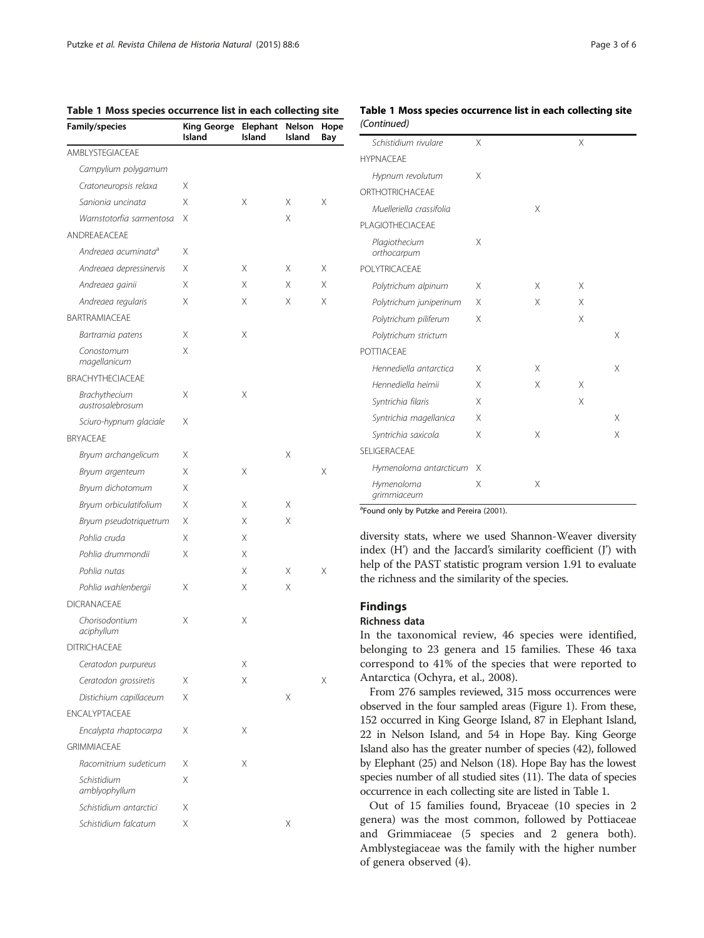| Family/species                    | King George<br>Island | Elephant<br>Island | Nelson<br>Island | Hope<br>Bay |
|-----------------------------------|-----------------------|--------------------|------------------|-------------|
| AMBLYSTEGIACEAE                   |                       |                    |                  |             |
| Campylium polygamum               |                       |                    |                  |             |
| Cratoneuropsis relaxa             | Χ                     |                    |                  |             |
| Sanionia uncinata                 | Χ                     | X                  | Χ                | Χ           |
| Warnstotorfia sarmentosa          | Χ                     |                    | Χ                |             |
| ANDREAEACEAE                      |                       |                    |                  |             |
| Andreaea acuminata <sup>a</sup>   | Χ                     |                    |                  |             |
| Andreaea depressinervis           | Χ                     | Χ                  | Χ                | Χ           |
| Andreaea gainii                   | Χ                     | Χ                  | Χ                | Χ           |
| Andreaea regularis                | Χ                     | X                  | Χ                | X           |
| BARTRAMIACEAE                     |                       |                    |                  |             |
| Bartramia patens                  | Χ                     | Χ                  |                  |             |
| Conostomum<br>magellanicum        | Χ                     |                    |                  |             |
| BRACHYTHECIACEAE                  |                       |                    |                  |             |
| Brachythecium<br>austrosalebrosum | Χ                     | Χ                  |                  |             |
| Sciuro-hypnum glaciale            | Χ                     |                    |                  |             |
| <b>BRYACFAF</b>                   |                       |                    |                  |             |
| Bryum archangelicum               | Χ                     |                    | Χ                |             |
| Bryum argenteum                   | Χ                     | X                  |                  | Χ           |
| Bryum dichotomum                  | Χ                     |                    |                  |             |
| Bryum orbiculatifolium            | Χ                     | Χ                  | Χ                |             |
| Bryum pseudotriquetrum            | Χ                     | X                  | Χ                |             |
| Pohlia cruda                      | X                     | Χ                  |                  |             |
| Pohlia drummondii                 | Χ                     | Χ                  |                  |             |
| Pohlia nutas                      |                       | Χ                  | Χ                | Χ           |
| Pohlia wahlenbergii               | Χ                     | Χ                  | Χ                |             |
| <b>DICRANACEAE</b>                |                       |                    |                  |             |
| Chorisodontium<br>aciphyllum      | Χ                     | Χ                  |                  |             |
| <b>DITRICHACEAE</b>               |                       |                    |                  |             |
| Ceratodon purpureus               |                       | Χ                  |                  |             |
| Ceratodon grossiretis             | Χ                     | Χ                  |                  | Χ           |
| Distichium capillaceum            | X                     |                    | Χ                |             |
| <b>ENCALYPTACEAE</b>              |                       |                    |                  |             |
| Encalypta rhaptocarpa             | Χ                     | Χ                  |                  |             |
| <b>GRIMMIACEAE</b>                |                       |                    |                  |             |
| Racomitrium sudeticum             | Χ                     | Χ                  |                  |             |
| Schistidium<br>amblyophyllum      | Χ                     |                    |                  |             |
| Schistidium antarctici            | X                     |                    |                  |             |
| Schistidium falcatum              | Χ                     |                    | Χ                |             |

# Table 1 Moss species occurrence list in each collecting site

# Table 1 Moss species occurrence list in each collecting site (Continued)

| Schistidium rivulare         | X |   | Χ |   |
|------------------------------|---|---|---|---|
| <b>HYPNACFAF</b>             |   |   |   |   |
| Hypnum revolutum             | Χ |   |   |   |
| ORTHOTRICHACFAF              |   |   |   |   |
| Muelleriella crassifolia     |   | X |   |   |
| PI AGIOTHECIACEAE            |   |   |   |   |
| Plagiothecium<br>orthocarpum | X |   |   |   |
| POI YTRICACEAE               |   |   |   |   |
| Polytrichum alpinum          | Χ | Χ | X |   |
| Polytrichum juniperinum      | X | Χ | X |   |
| Polytrichum piliferum        | X |   | X |   |
| Polytrichum strictum         |   |   |   | X |
| POTTIACEAE                   |   |   |   |   |
| Hennediella antarctica       | X | X |   | X |
| Hennediella heimii           | X | X | X |   |
| Syntrichia filaris           | X |   | Χ |   |
| Syntrichia magellanica       | X |   |   | X |
| Syntrichia saxicola          | X | X |   | X |
| SFI IGFRACFAF                |   |   |   |   |
| Hymenoloma antarcticum       | X |   |   |   |
| Hymenoloma<br>grimmiaceum    | X | Χ |   |   |

<sup>a</sup> Found only by Putzke and Pereira [\(2001\)](#page-5-0).

diversity stats, where we used Shannon-Weaver diversity index (H') and the Jaccard's similarity coefficient (J') with help of the PAST statistic program version 1.91 to evaluate the richness and the similarity of the species.

# Findings

#### Richness data

In the taxonomical review, 46 species were identified, belonging to 23 genera and 15 families. These 46 taxa correspond to 41% of the species that were reported to Antarctica (Ochyra, et al., [2008\)](#page-5-0).

From 276 samples reviewed, 315 moss occurrences were observed in the four sampled areas (Figure [1](#page-1-0)). From these, 152 occurred in King George Island, 87 in Elephant Island, 22 in Nelson Island, and 54 in Hope Bay. King George Island also has the greater number of species (42), followed by Elephant (25) and Nelson (18). Hope Bay has the lowest species number of all studied sites (11). The data of species occurrence in each collecting site are listed in Table 1.

Out of 15 families found, Bryaceae (10 species in 2 genera) was the most common, followed by Pottiaceae and Grimmiaceae (5 species and 2 genera both). Amblystegiaceae was the family with the higher number of genera observed (4).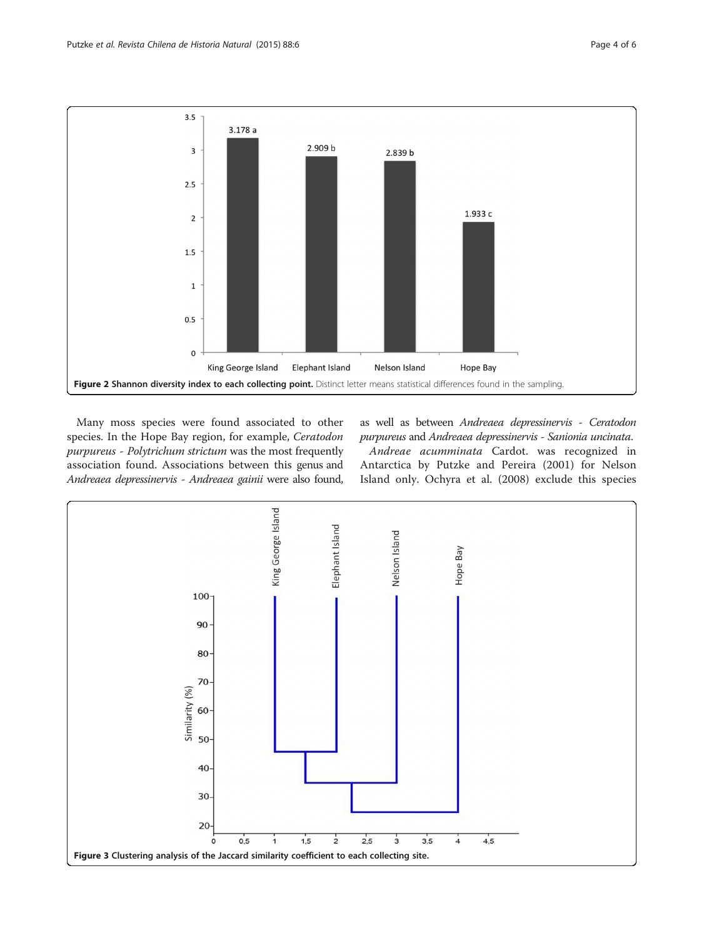<span id="page-3-0"></span>

Many moss species were found associated to other species. In the Hope Bay region, for example, Ceratodon purpureus - Polytrichum strictum was the most frequently association found. Associations between this genus and Andreaea depressinervis - Andreaea gainii were also found,

as well as between Andreaea depressinervis - Ceratodon purpureus and Andreaea depressinervis - Sanionia uncinata.

Andreae acumminata Cardot. was recognized in Antarctica by Putzke and Pereira ([2001\)](#page-5-0) for Nelson Island only. Ochyra et al. ([2008\)](#page-5-0) exclude this species

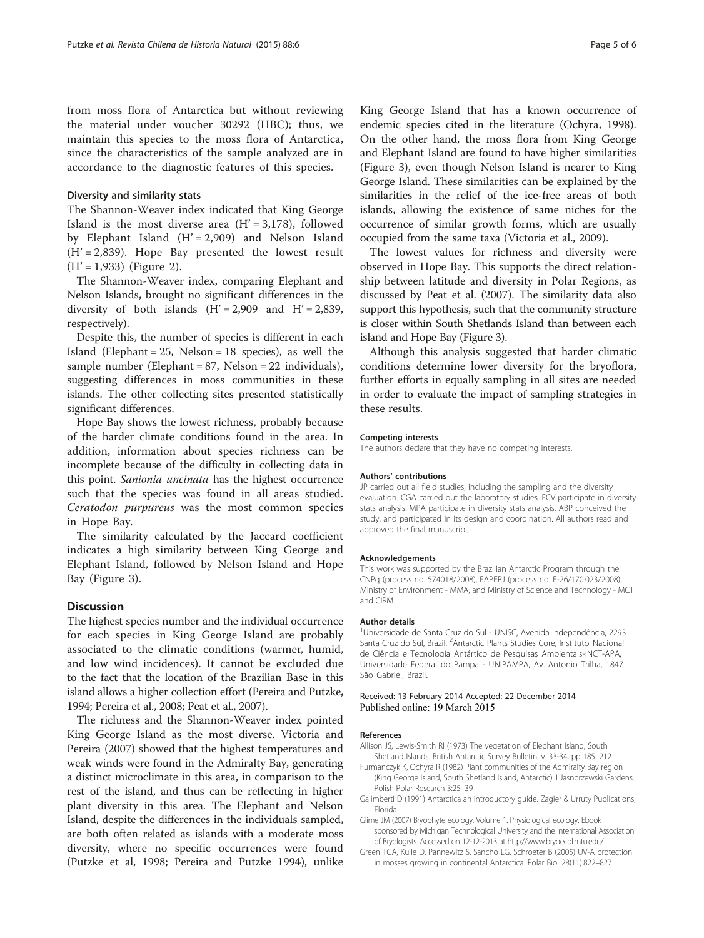<span id="page-4-0"></span>from moss flora of Antarctica but without reviewing the material under voucher 30292 (HBC); thus, we maintain this species to the moss flora of Antarctica, since the characteristics of the sample analyzed are in accordance to the diagnostic features of this species.

#### Diversity and similarity stats

The Shannon-Weaver index indicated that King George Island is the most diverse area  $(H' = 3,178)$ , followed by Elephant Island  $(H' = 2,909)$  and Nelson Island  $(H' = 2,839)$ . Hope Bay presented the lowest result  $(H' = 1,933)$  (Figure [2](#page-3-0)).

The Shannon-Weaver index, comparing Elephant and Nelson Islands, brought no significant differences in the diversity of both islands  $(H' = 2,909$  and  $H' = 2,839$ , respectively).

Despite this, the number of species is different in each Island (Elephant =  $25$ , Nelson =  $18$  species), as well the sample number (Elephant = 87, Nelson = 22 individuals), suggesting differences in moss communities in these islands. The other collecting sites presented statistically significant differences.

Hope Bay shows the lowest richness, probably because of the harder climate conditions found in the area. In addition, information about species richness can be incomplete because of the difficulty in collecting data in this point. Sanionia uncinata has the highest occurrence such that the species was found in all areas studied. Ceratodon purpureus was the most common species in Hope Bay.

The similarity calculated by the Jaccard coefficient indicates a high similarity between King George and Elephant Island, followed by Nelson Island and Hope Bay (Figure [3](#page-3-0)).

# **Discussion**

The highest species number and the individual occurrence for each species in King George Island are probably associated to the climatic conditions (warmer, humid, and low wind incidences). It cannot be excluded due to the fact that the location of the Brazilian Base in this island allows a higher collection effort (Pereira and Putzke, [1994;](#page-5-0) Pereira et al., [2008](#page-5-0); Peat et al., [2007](#page-5-0)).

The richness and the Shannon-Weaver index pointed King George Island as the most diverse. Victoria and Pereira ([2007](#page-5-0)) showed that the highest temperatures and weak winds were found in the Admiralty Bay, generating a distinct microclimate in this area, in comparison to the rest of the island, and thus can be reflecting in higher plant diversity in this area. The Elephant and Nelson Island, despite the differences in the individuals sampled, are both often related as islands with a moderate moss diversity, where no specific occurrences were found (Putzke et al, [1998;](#page-5-0) Pereira and Putzke [1994\)](#page-5-0), unlike

King George Island that has a known occurrence of endemic species cited in the literature (Ochyra, [1998](#page-5-0)). On the other hand, the moss flora from King George and Elephant Island are found to have higher similarities (Figure [3](#page-3-0)), even though Nelson Island is nearer to King George Island. These similarities can be explained by the similarities in the relief of the ice-free areas of both islands, allowing the existence of same niches for the occurrence of similar growth forms, which are usually occupied from the same taxa (Victoria et al., [2009\)](#page-5-0).

The lowest values for richness and diversity were observed in Hope Bay. This supports the direct relationship between latitude and diversity in Polar Regions, as discussed by Peat et al. [\(2007\)](#page-5-0). The similarity data also support this hypothesis, such that the community structure is closer within South Shetlands Island than between each island and Hope Bay (Figure [3](#page-3-0)).

Although this analysis suggested that harder climatic conditions determine lower diversity for the bryoflora, further efforts in equally sampling in all sites are needed in order to evaluate the impact of sampling strategies in these results.

#### Competing interests

The authors declare that they have no competing interests.

#### Authors' contributions

JP carried out all field studies, including the sampling and the diversity evaluation. CGA carried out the laboratory studies. FCV participate in diversity stats analysis. MPA participate in diversity stats analysis. ABP conceived the study, and participated in its design and coordination. All authors read and approved the final manuscript.

#### Acknowledgements

This work was supported by the Brazilian Antarctic Program through the CNPq (process no. 574018/2008), FAPERJ (process no. E-26/170.023/2008), Ministry of Environment - MMA, and Ministry of Science and Technology - MCT and CIRM.

#### Author details

1 Universidade de Santa Cruz do Sul - UNISC, Avenida Independência, 2293 Santa Cruz do Sul, Brazil. <sup>2</sup>Antarctic Plants Studies Core, Instituto Nacional de Ciência e Tecnologia Antártico de Pesquisas Ambientais-INCT-APA, Universidade Federal do Pampa - UNIPAMPA, Av. Antonio Trilha, 1847 São Gabriel, Brazil.

#### Received: 13 February 2014 Accepted: 22 December 2014 Published online: 19 March 2015

#### References

- Allison JS, Lewis-Smith RI (1973) The vegetation of Elephant Island, South Shetland Islands. British Antarctic Survey Bulletin, v. 33-34, pp 185–212
- Furmanczyk K, Ochyra R (1982) Plant communities of the Admiralty Bay region (King George Island, South Shetland Island, Antarctic). I Jasnorzewski Gardens. Polish Polar Research 3:25–39
- Galimberti D (1991) Antarctica an introductory guide. Zagier & Urruty Publications, Florida
- Glime JM (2007) Bryophyte ecology. Volume 1. Physiological ecology. Ebook sponsored by Michigan Technological University and the International Association of Bryologists. Accessed on 12-12-2013 at<http://www.bryoecol.mtu.edu/>
- Green TGA, Kulle D, Pannewitz S, Sancho LG, Schroeter B (2005) UV-A protection in mosses growing in continental Antarctica. Polar Biol 28(11):822–827